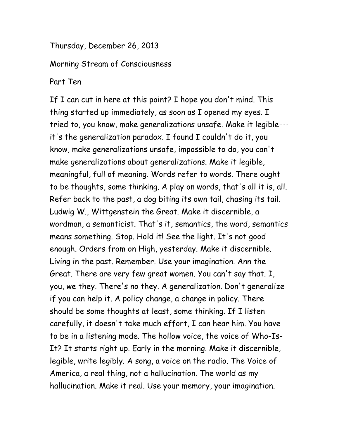Thursday, December 26, 2013

Morning Stream of Consciousness

Part Ten

If I can cut in here at this point? I hope you don't mind. This thing started up immediately, as soon as I opened my eyes. I tried to, you know, make generalizations unsafe. Make it legible-- it's the generalization paradox. I found I couldn't do it, you know, make generalizations unsafe, impossible to do, you can't make generalizations about generalizations. Make it legible, meaningful, full of meaning. Words refer to words. There ought to be thoughts, some thinking. A play on words, that's all it is, all. Refer back to the past, a dog biting its own tail, chasing its tail. Ludwig W., Wittgenstein the Great. Make it discernible, a wordman, a semanticist. That's it, semantics, the word, semantics means something. Stop. Hold it! See the light. It's not good enough. Orders from on High, yesterday. Make it discernible. Living in the past. Remember. Use your imagination. Ann the Great. There are very few great women. You can't say that. I, you, we they. There's no they. A generalization. Don't generalize if you can help it. A policy change, a change in policy. There should be some thoughts at least, some thinking. If I listen carefully, it doesn't take much effort, I can hear him. You have to be in a listening mode. The hollow voice, the voice of Who-Is-It? It starts right up. Early in the morning. Make it discernible, legible, write legibly. A song, a voice on the radio. The Voice of America, a real thing, not a hallucination. The world as my hallucination. Make it real. Use your memory, your imagination.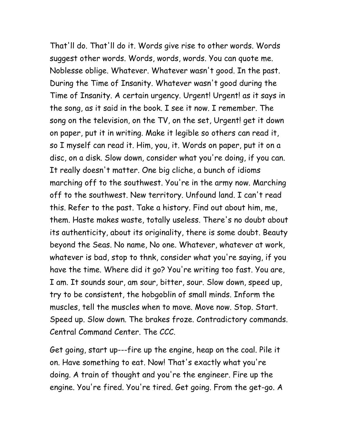That'll do. That'll do it. Words give rise to other words. Words suggest other words. Words, words, words. You can quote me. Noblesse oblige. Whatever. Whatever wasn't good. In the past. During the Time of Insanity. Whatever wasn't good during the Time of Insanity. A certain urgency. Urgent! Urgent! as it says in the song, as it said in the book. I see it now. I remember. The song on the television, on the TV, on the set, Urgent! get it down on paper, put it in writing. Make it legible so others can read it, so I myself can read it. Him, you, it. Words on paper, put it on a disc, on a disk. Slow down, consider what you're doing, if you can. It really doesn't matter. One big cliche, a bunch of idioms marching off to the southwest. You're in the army now. Marching off to the southwest. New territory. Unfound land. I can't read this. Refer to the past. Take a history. Find out about him, me, them. Haste makes waste, totally useless. There's no doubt about its authenticity, about its originality, there is some doubt. Beauty beyond the Seas. No name, No one. Whatever, whatever at work, whatever is bad, stop to thnk, consider what you're saying, if you have the time. Where did it go? You're writing too fast. You are, I am. It sounds sour, am sour, bitter, sour. Slow down, speed up, try to be consistent, the hobgoblin of small minds. Inform the muscles, tell the muscles when to move. Move now. Stop. Start. Speed up. Slow down. The brakes froze. Contradictory commands. Central Command Center. The CCC.

Get going, start up---fire up the engine, heap on the coal. Pile it on. Have something to eat. Now! That's exactly what you're doing. A train of thought and you're the engineer. Fire up the engine. You're fired. You're tired. Get going. From the get-go. A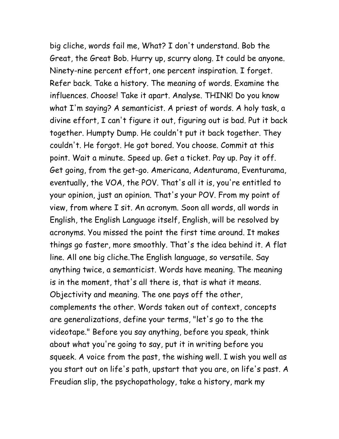big cliche, words fail me, What? I don't understand. Bob the Great, the Great Bob. Hurry up, scurry along. It could be anyone. Ninety-nine percent effort, one percent inspiration. I forget. Refer back. Take a history. The meaning of words. Examine the influences. Choose! Take it apart. Analyse. THINK! Do you know what I'm saying? A semanticist. A priest of words. A holy task, a divine effort, I can't figure it out, figuring out is bad. Put it back together. Humpty Dump. He couldn't put it back together. They couldn't. He forgot. He got bored. You choose. Commit at this point. Wait a minute. Speed up. Get a ticket. Pay up. Pay it off. Get going, from the get-go. Americana, Adenturama, Eventurama, eventually, the VOA, the POV. That's all it is, you're entitled to your opinion, just an opinion. That's your POV. From my point of view, from where I sit. An acronym. Soon all words, all words in English, the English Language itself, English, will be resolved by acronyms. You missed the point the first time around. It makes things go faster, more smoothly. That's the idea behind it. A flat line. All one big cliche.The English language, so versatile. Say anything twice, a semanticist. Words have meaning. The meaning is in the moment, that's all there is, that is what it means. Objectivity and meaning. The one pays off the other, complements the other. Words taken out of context, concepts are generalizations, define your terms, "let's go to the the videotape." Before you say anything, before you speak, think about what you're going to say, put it in writing before you squeek. A voice from the past, the wishing well. I wish you well as you start out on life's path, upstart that you are, on life's past. A Freudian slip, the psychopathology, take a history, mark my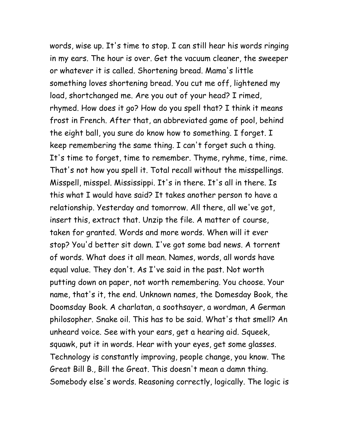words, wise up. It's time to stop. I can still hear his words ringing in my ears. The hour is over. Get the vacuum cleaner, the sweeper or whatever it is called. Shortening bread. Mama's little something loves shortening bread. You cut me off, lightened my load, shortchanged me. Are you out of your head? I rimed, rhymed. How does it go? How do you spell that? I think it means frost in French. After that, an abbreviated game of pool, behind the eight ball, you sure do know how to something. I forget. I keep remembering the same thing. I can't forget such a thing. It's time to forget, time to remember. Thyme, ryhme, time, rime. That's not how you spell it. Total recall without the misspellings. Misspell, misspel. Mississippi. It's in there. It's all in there. Is this what I would have said? It takes another person to have a relationship. Yesterday and tomorrow. All there, all we've got, insert this, extract that. Unzip the file. A matter of course, taken for granted. Words and more words. When will it ever stop? You'd better sit down. I've got some bad news. A torrent of words. What does it all mean. Names, words, all words have equal value. They don't. As I've said in the past. Not worth putting down on paper, not worth remembering. You choose. Your name, that's it, the end. Unknown names, the Domesday Book, the Doomsday Book. A charlatan, a soothsayer, a wordman, A German philosopher. Snake oil. This has to be said. What's that smell? An unheard voice. See with your ears, get a hearing aid. Squeek, squawk, put it in words. Hear with your eyes, get some glasses. Technology is constantly improving, people change, you know. The Great Bill B., Bill the Great. This doesn't mean a damn thing. Somebody else's words. Reasoning correctly, logically. The logic is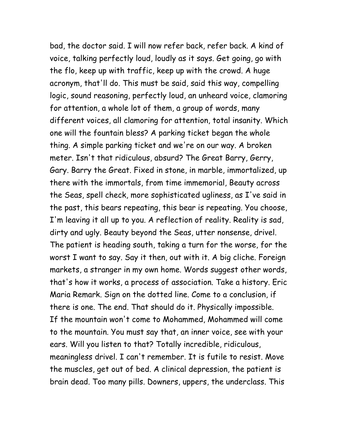bad, the doctor said. I will now refer back, refer back. A kind of voice, talking perfectly loud, loudly as it says. Get going, go with the flo, keep up with traffic, keep up with the crowd. A huge acronym, that'll do. This must be said, said this way, compelling logic, sound reasoning, perfectly loud, an unheard voice, clamoring for attention, a whole lot of them, a group of words, many different voices, all clamoring for attention, total insanity. Which one will the fountain bless? A parking ticket began the whole thing. A simple parking ticket and we're on our way. A broken meter. Isn't that ridiculous, absurd? The Great Barry, Gerry, Gary. Barry the Great. Fixed in stone, in marble, immortalized, up there with the immortals, from time immemorial, Beauty across the Seas, spell check, more sophisticated ugliness, as I've said in the past, this bears repeating, this bear is repeating. You choose, I'm leaving it all up to you. A reflection of reality. Reality is sad, dirty and ugly. Beauty beyond the Seas, utter nonsense, drivel. The patient is heading south, taking a turn for the worse, for the worst I want to say. Say it then, out with it. A big cliche. Foreign markets, a stranger in my own home. Words suggest other words, that's how it works, a process of association. Take a history. Eric Maria Remark. Sign on the dotted line. Come to a conclusion, if there is one. The end. That should do it. Physically impossible. If the mountain won't come to Mohammed, Mohammed will come to the mountain. You must say that, an inner voice, see with your ears. Will you listen to that? Totally incredible, ridiculous, meaningless drivel. I can't remember. It is futile to resist. Move the muscles, get out of bed. A clinical depression, the patient is brain dead. Too many pills. Downers, uppers, the underclass. This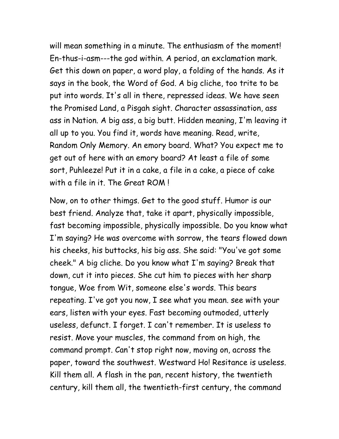will mean something in a minute. The enthusiasm of the moment! En-thus-i-asm---the god within. A period, an exclamation mark. Get this down on paper, a word play, a folding of the hands. As it says in the book, the Word of God. A big cliche, too trite to be put into words. It's all in there, repressed ideas. We have seen the Promised Land, a Pisgah sight. Character assassination, ass ass in Nation. A big ass, a big butt. Hidden meaning, I'm leaving it all up to you. You find it, words have meaning. Read, write, Random Only Memory. An emory board. What? You expect me to get out of here with an emory board? At least a file of some sort, Puhleeze! Put it in a cake, a file in a cake, a piece of cake with a file in it. The Great ROM !

Now, on to other thimgs. Get to the good stuff. Humor is our best friend. Analyze that, take it apart, physically impossible, fast becoming impossible, physically impossible. Do you know what I'm saying? He was overcome with sorrow, the tears flowed down his cheeks, his buttocks, his big ass. She said: "You've got some cheek." A big cliche. Do you know what I'm saying? Break that down, cut it into pieces. She cut him to pieces with her sharp tongue, Woe from Wit, someone else's words. This bears repeating. I've got you now, I see what you mean. see with your ears, listen with your eyes. Fast becoming outmoded, utterly useless, defunct. I forget. I can't remember. It is useless to resist. Move your muscles, the command from on high, the command prompt. Can't stop right now, moving on, across the paper, toward the southwest. Westward Ho! Resitance is useless. Kill them all. A flash in the pan, recent history, the twentieth century, kill them all, the twentieth-first century, the command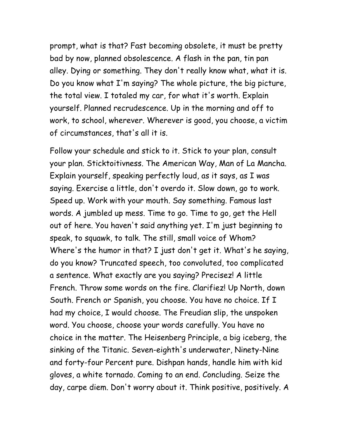prompt, what is that? Fast becoming obsolete, it must be pretty bad by now, planned obsolescence. A flash in the pan, tin pan alley. Dying or something. They don't really know what, what it is. Do you know what I'm saying? The whole picture, the big picture, the total view. I totaled my car, for what it's worth. Explain yourself. Planned recrudescence. Up in the morning and off to work, to school, wherever. Wherever is good, you choose, a victim of circumstances, that's all it is.

Follow your schedule and stick to it. Stick to your plan, consult your plan. Sticktoitivness. The American Way, Man of La Mancha. Explain yourself, speaking perfectly loud, as it says, as I was saying. Exercise a little, don't overdo it. Slow down, go to work. Speed up. Work with your mouth. Say something. Famous last words. A jumbled up mess. Time to go. Time to go, get the Hell out of here. You haven't said anything yet. I'm just beginning to speak, to squawk, to talk. The still, small voice of Whom? Where's the humor in that? I just don't get it. What's he saying, do you know? Truncated speech, too convoluted, too complicated a sentence. What exactly are you saying? Precisez! A little French. Throw some words on the fire. Clarifiez! Up North, down South. French or Spanish, you choose. You have no choice. If I had my choice, I would choose. The Freudian slip, the unspoken word. You choose, choose your words carefully. You have no choice in the matter. The Heisenberg Principle, a big iceberg, the sinking of the Titanic. Seven-eighth's underwater, Ninety-Nine and forty-four Percent pure. Dishpan hands, handle him with kid gloves, a white tornado. Coming to an end. Concluding. Seize the day, carpe diem. Don't worry about it. Think positive, positively. A